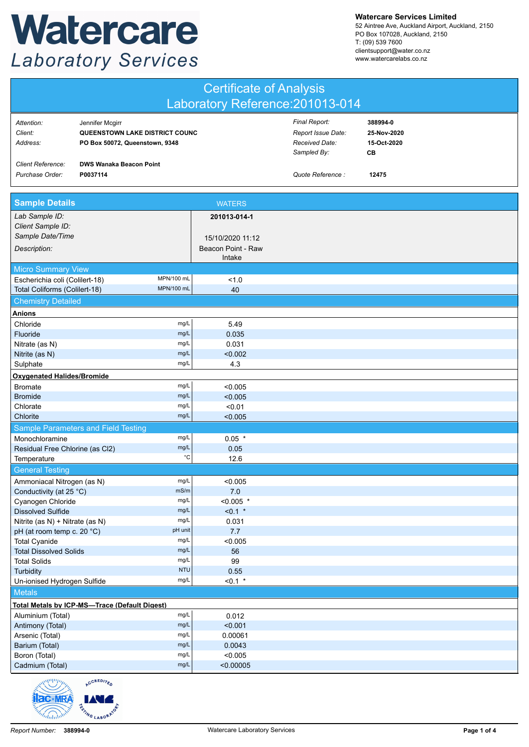## Watercare **Laboratory Services**

**Watercare Services Limited**

52 Aintree Ave, Auckland Airport, Auckland, 2150 PO Box 107028, Auckland, 2150 T: (09) 539 7600 clientsupport@water.co.nz www.watercarelabs.co.nz

| <b>Certificate of Analysis</b>                             |                                                                                     |                              |                                                                      |                                              |  |  |  |
|------------------------------------------------------------|-------------------------------------------------------------------------------------|------------------------------|----------------------------------------------------------------------|----------------------------------------------|--|--|--|
| Laboratory Reference: 201013-014                           |                                                                                     |                              |                                                                      |                                              |  |  |  |
| Attention:<br>Client:<br>Address:                          | Jennifer Mcgirr<br>QUEENSTOWN LAKE DISTRICT COUNC<br>PO Box 50072, Queenstown, 9348 |                              | Final Report:<br>Report Issue Date:<br>Received Date:<br>Sampled By: | 388994-0<br>25-Nov-2020<br>15-Oct-2020<br>CВ |  |  |  |
| <b>Client Reference:</b><br>Purchase Order:                | <b>DWS Wanaka Beacon Point</b><br>P0037114                                          |                              | Quote Reference :                                                    | 12475                                        |  |  |  |
| <b>Sample Details</b>                                      |                                                                                     | <b>WATERS</b>                |                                                                      |                                              |  |  |  |
| Lab Sample ID:<br>Client Sample ID:                        |                                                                                     | 201013-014-1                 |                                                                      |                                              |  |  |  |
| Sample Date/Time                                           |                                                                                     | 15/10/2020 11:12             |                                                                      |                                              |  |  |  |
| Description:                                               |                                                                                     | Beacon Point - Raw<br>Intake |                                                                      |                                              |  |  |  |
| <b>Micro Summary View</b>                                  |                                                                                     |                              |                                                                      |                                              |  |  |  |
| Escherichia coli (Colilert-18)                             | MPN/100 mL                                                                          | 1.0                          |                                                                      |                                              |  |  |  |
| Total Coliforms (Colilert-18)<br><b>Chemistry Detailed</b> | MPN/100 mL                                                                          | 40                           |                                                                      |                                              |  |  |  |
|                                                            |                                                                                     |                              |                                                                      |                                              |  |  |  |
| <b>Anions</b><br>Chloride                                  | mg/L                                                                                | 5.49                         |                                                                      |                                              |  |  |  |
| Fluoride                                                   | mg/L                                                                                | 0.035                        |                                                                      |                                              |  |  |  |
| Nitrate (as N)                                             | mg/L                                                                                | 0.031                        |                                                                      |                                              |  |  |  |
| Nitrite (as N)                                             | mg/L                                                                                | < 0.002                      |                                                                      |                                              |  |  |  |
| Sulphate                                                   | mg/L                                                                                | 4.3                          |                                                                      |                                              |  |  |  |
| <b>Oxygenated Halides/Bromide</b>                          |                                                                                     |                              |                                                                      |                                              |  |  |  |
| <b>Bromate</b>                                             | mg/L                                                                                | < 0.005                      |                                                                      |                                              |  |  |  |
| <b>Bromide</b>                                             | mg/L                                                                                | < 0.005                      |                                                                      |                                              |  |  |  |
| Chlorate                                                   | mg/L                                                                                | < 0.01                       |                                                                      |                                              |  |  |  |
| Chlorite                                                   | mg/L                                                                                | < 0.005                      |                                                                      |                                              |  |  |  |
|                                                            | Sample Parameters and Field Testing                                                 |                              |                                                                      |                                              |  |  |  |
| Monochloramine                                             | mg/L                                                                                | $0.05$ *                     |                                                                      |                                              |  |  |  |
| Residual Free Chlorine (as Cl2)<br>Temperature             | mg/L<br>$^{\circ}{\rm C}$                                                           | 0.05<br>12.6                 |                                                                      |                                              |  |  |  |
|                                                            |                                                                                     |                              |                                                                      |                                              |  |  |  |
| <b>General Testing</b><br>Ammoniacal Nitrogen (as N)       | mg/L                                                                                | < 0.005                      |                                                                      |                                              |  |  |  |
| Conductivity (at 25 °C)                                    | mS/m                                                                                | $7.0$                        |                                                                      |                                              |  |  |  |
| Cyanogen Chloride                                          | mg/L                                                                                | $< 0.005$ *                  |                                                                      |                                              |  |  |  |
| mg/L<br><b>Dissolved Sulfide</b>                           |                                                                                     | $< 0.1$ *                    |                                                                      |                                              |  |  |  |
| mg/L<br>Nitrite (as N) + Nitrate (as N)                    |                                                                                     | 0.031                        |                                                                      |                                              |  |  |  |
| pH (at room temp c. 20 °C)                                 | pH unit                                                                             | 7.7                          |                                                                      |                                              |  |  |  |
| <b>Total Cyanide</b>                                       | mg/L                                                                                | < 0.005                      |                                                                      |                                              |  |  |  |
| <b>Total Dissolved Solids</b><br><b>Total Solids</b>       | mg/L<br>mg/L                                                                        | 56<br>99                     |                                                                      |                                              |  |  |  |
| Turbidity                                                  | <b>NTU</b>                                                                          | 0.55                         |                                                                      |                                              |  |  |  |
| Un-ionised Hydrogen Sulfide                                | mg/L                                                                                | $< 0.1$ *                    |                                                                      |                                              |  |  |  |
| <b>Metals</b>                                              |                                                                                     |                              |                                                                      |                                              |  |  |  |
|                                                            | <b>Total Metals by ICP-MS-Trace (Default Digest)</b>                                |                              |                                                                      |                                              |  |  |  |
| Aluminium (Total)                                          | mg/L                                                                                | 0.012                        |                                                                      |                                              |  |  |  |
| Antimony (Total)                                           | mg/L                                                                                | < 0.001                      |                                                                      |                                              |  |  |  |
| Arsenic (Total)                                            | mg/L                                                                                | 0.00061                      |                                                                      |                                              |  |  |  |
| Barium (Total)                                             | mg/L                                                                                | 0.0043                       |                                                                      |                                              |  |  |  |
| Boron (Total)                                              | mg/L                                                                                | < 0.005                      |                                                                      |                                              |  |  |  |
| Cadmium (Total)                                            | mg/L                                                                                | < 0.00005                    |                                                                      |                                              |  |  |  |
| annihiti <i>ng</i>                                         | CCREDITE                                                                            |                              |                                                                      |                                              |  |  |  |

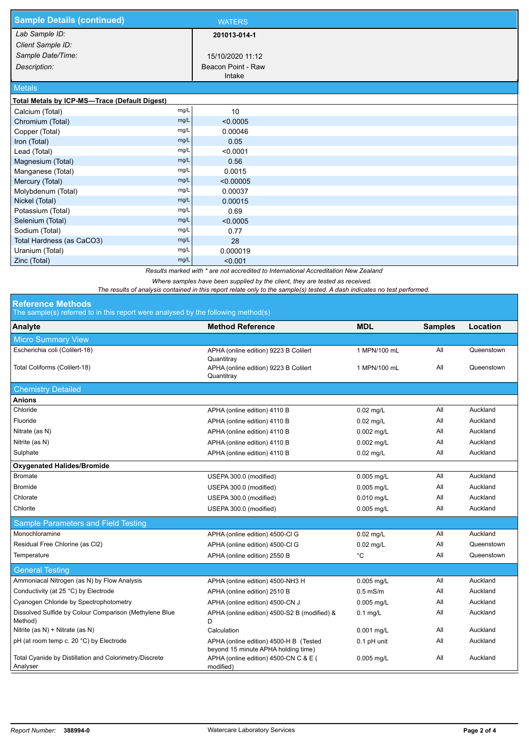| <b>Sample Details (continued)</b>             |      | <b>WATERS</b>      |  |  |  |
|-----------------------------------------------|------|--------------------|--|--|--|
| Lab Sample ID:                                |      | 201013-014-1       |  |  |  |
| Client Sample ID:                             |      |                    |  |  |  |
| Sample Date/Time:                             |      | 15/10/2020 11:12   |  |  |  |
| Description:                                  |      | Beacon Point - Raw |  |  |  |
|                                               |      | Intake             |  |  |  |
| <b>Metals</b>                                 |      |                    |  |  |  |
| Total Metals by ICP-MS-Trace (Default Digest) |      |                    |  |  |  |
| Calcium (Total)                               | mg/L | 10                 |  |  |  |
| Chromium (Total)                              | mg/L | < 0.0005           |  |  |  |
| Copper (Total)                                | mg/L | 0.00046            |  |  |  |
| Iron (Total)                                  | mg/L | 0.05               |  |  |  |
| Lead (Total)                                  | mg/L | < 0.0001           |  |  |  |
| Magnesium (Total)                             | mg/L | 0.56               |  |  |  |
| Manganese (Total)                             | mg/L | 0.0015             |  |  |  |
| Mercury (Total)                               | mg/L | < 0.00005          |  |  |  |
| Molybdenum (Total)                            | mg/L | 0.00037            |  |  |  |
| Nickel (Total)                                | mg/L | 0.00015            |  |  |  |
| Potassium (Total)                             | mg/L | 0.69               |  |  |  |
| Selenium (Total)                              | mg/L | < 0.0005           |  |  |  |
| Sodium (Total)                                | mg/L | 0.77               |  |  |  |
| Total Hardness (as CaCO3)                     | mg/L | 28                 |  |  |  |
| Uranium (Total)                               | mg/L | 0.000019           |  |  |  |
| Zinc (Total)                                  | mg/L | < 0.001            |  |  |  |

*Results marked with \* are not accredited to International Accreditation New Zealand*

*Where samples have been supplied by the client, they are tested as received.* 

*The results of analysis contained in this report relate only to the sample(s) tested. A dash indicates no test performed.*

## **Reference Methods**

The sample(s) referred to in this report were analysed by the following method(s)

| $\sim$ 0.000 protected to the the report free ditary ocal by the following method of |                                                                               |              |                |            |  |  |  |  |
|--------------------------------------------------------------------------------------|-------------------------------------------------------------------------------|--------------|----------------|------------|--|--|--|--|
| Analyte                                                                              | <b>Method Reference</b>                                                       | <b>MDL</b>   | <b>Samples</b> | Location   |  |  |  |  |
| <b>Micro Summary View</b>                                                            |                                                                               |              |                |            |  |  |  |  |
| Escherichia coli (Colilert-18)                                                       | APHA (online edition) 9223 B Colilert<br>Quantitray                           | 1 MPN/100 mL | All            | Queenstown |  |  |  |  |
| Total Coliforms (Colilert-18)                                                        | APHA (online edition) 9223 B Colilert<br>1 MPN/100 mL<br>Quantitray           |              | All            | Queenstown |  |  |  |  |
| <b>Chemistry Detailed</b>                                                            |                                                                               |              |                |            |  |  |  |  |
| <b>Anions</b>                                                                        |                                                                               |              |                |            |  |  |  |  |
| Chloride                                                                             | APHA (online edition) 4110 B                                                  | $0.02$ mg/L  | All            | Auckland   |  |  |  |  |
| Fluoride                                                                             | APHA (online edition) 4110 B                                                  | $0.02$ mg/L  | All            | Auckland   |  |  |  |  |
| Nitrate (as N)                                                                       | APHA (online edition) 4110 B                                                  | $0.002$ mg/L | All            | Auckland   |  |  |  |  |
| Nitrite (as N)                                                                       | APHA (online edition) 4110 B                                                  | $0.002$ mg/L | All            | Auckland   |  |  |  |  |
| Sulphate                                                                             | APHA (online edition) 4110 B                                                  | $0.02$ mg/L  | All            | Auckland   |  |  |  |  |
| <b>Oxygenated Halides/Bromide</b>                                                    |                                                                               |              |                |            |  |  |  |  |
| <b>Bromate</b>                                                                       | USEPA 300.0 (modified)                                                        | 0.005 mg/L   | All            | Auckland   |  |  |  |  |
| <b>Bromide</b>                                                                       | USEPA 300.0 (modified)                                                        | $0.005$ mg/L | All            | Auckland   |  |  |  |  |
| Chlorate                                                                             | USEPA 300.0 (modified)                                                        | 0.010 mg/L   | All            | Auckland   |  |  |  |  |
| Chlorite                                                                             | USEPA 300.0 (modified)                                                        | $0.005$ mg/L | All            | Auckland   |  |  |  |  |
| Sample Parameters and Field Testing                                                  |                                                                               |              |                |            |  |  |  |  |
| Monochloramine                                                                       | APHA (online edition) 4500-Cl G                                               | $0.02$ mg/L  | All            | Auckland   |  |  |  |  |
| Residual Free Chlorine (as Cl2)                                                      | APHA (online edition) 4500-Cl G                                               | $0.02$ mg/L  | All            | Queenstown |  |  |  |  |
| Temperature                                                                          | APHA (online edition) 2550 B                                                  | °C           | All            | Queenstown |  |  |  |  |
| <b>General Testing</b>                                                               |                                                                               |              |                |            |  |  |  |  |
| Ammoniacal Nitrogen (as N) by Flow Analysis                                          | APHA (online edition) 4500-NH3 H                                              | 0.005 mg/L   | All            | Auckland   |  |  |  |  |
| Conductivity (at 25 °C) by Electrode                                                 | APHA (online edition) 2510 B                                                  | $0.5$ mS/m   | All            | Auckland   |  |  |  |  |
| Cyanogen Chloride by Spectrophotometry                                               | APHA (online edition) 4500-CN J                                               | 0.005 mg/L   | All            | Auckland   |  |  |  |  |
| Dissolved Sulfide by Colour Comparison (Methylene Blue<br>Method)                    | APHA (online edition) 4500-S2 B (modified) &<br>D                             | $0.1$ mg/L   | All            | Auckland   |  |  |  |  |
| Nitrite (as N) + Nitrate (as N)                                                      | Calculation                                                                   | 0.001 mg/L   | All            | Auckland   |  |  |  |  |
| pH (at room temp c. 20 °C) by Electrode                                              | APHA (online edition) 4500-H B (Tested<br>beyond 15 minute APHA holding time) | 0.1 pH unit  | All            | Auckland   |  |  |  |  |
| Total Cyanide by Distillation and Colorimetry/Discrete<br>Analyser                   | APHA (online edition) 4500-CN C & E (<br>modified)                            | $0.005$ mg/L | All            | Auckland   |  |  |  |  |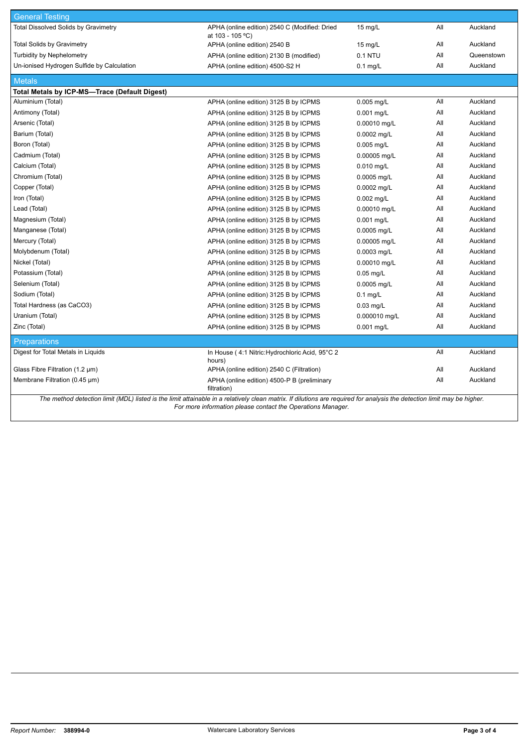| <b>General Testing</b>                                                                                                                                                  |                                                                   |                   |     |            |  |  |  |  |
|-------------------------------------------------------------------------------------------------------------------------------------------------------------------------|-------------------------------------------------------------------|-------------------|-----|------------|--|--|--|--|
| <b>Total Dissolved Solids by Gravimetry</b>                                                                                                                             | APHA (online edition) 2540 C (Modified: Dried<br>at 103 - 105 °C) | $15 \text{ mg/L}$ | All | Auckland   |  |  |  |  |
| <b>Total Solids by Gravimetry</b>                                                                                                                                       | APHA (online edition) 2540 B                                      | $15 \text{ mg/L}$ | All | Auckland   |  |  |  |  |
| <b>Turbidity by Nephelometry</b>                                                                                                                                        | APHA (online edition) 2130 B (modified)                           | 0.1 NTU           | All | Queenstown |  |  |  |  |
| Un-ionised Hydrogen Sulfide by Calculation                                                                                                                              | APHA (online edition) 4500-S2 H                                   | $0.1$ mg/L        | All | Auckland   |  |  |  |  |
| <b>Metals</b>                                                                                                                                                           |                                                                   |                   |     |            |  |  |  |  |
| Total Metals by ICP-MS-Trace (Default Digest)                                                                                                                           |                                                                   |                   |     |            |  |  |  |  |
| Aluminium (Total)                                                                                                                                                       | APHA (online edition) 3125 B by ICPMS                             | 0.005 mg/L        | All | Auckland   |  |  |  |  |
| Antimony (Total)                                                                                                                                                        | APHA (online edition) 3125 B by ICPMS                             | $0.001$ mg/L      | All | Auckland   |  |  |  |  |
| Arsenic (Total)                                                                                                                                                         | APHA (online edition) 3125 B by ICPMS                             | 0.00010 mg/L      | All | Auckland   |  |  |  |  |
| Barium (Total)                                                                                                                                                          | APHA (online edition) 3125 B by ICPMS                             | 0.0002 mg/L       | All | Auckland   |  |  |  |  |
| Boron (Total)                                                                                                                                                           | APHA (online edition) 3125 B by ICPMS                             | $0.005$ mg/L      | All | Auckland   |  |  |  |  |
| Cadmium (Total)                                                                                                                                                         | APHA (online edition) 3125 B by ICPMS                             | 0.00005 mg/L      | All | Auckland   |  |  |  |  |
| Calcium (Total)                                                                                                                                                         | APHA (online edition) 3125 B by ICPMS                             | $0.010$ mg/L      | All | Auckland   |  |  |  |  |
| Chromium (Total)                                                                                                                                                        | APHA (online edition) 3125 B by ICPMS                             | 0.0005 mg/L       | All | Auckland   |  |  |  |  |
| Copper (Total)                                                                                                                                                          | APHA (online edition) 3125 B by ICPMS                             | 0.0002 mg/L       | All | Auckland   |  |  |  |  |
| Iron (Total)                                                                                                                                                            | APHA (online edition) 3125 B by ICPMS                             | $0.002$ mg/L      | All | Auckland   |  |  |  |  |
| Lead (Total)                                                                                                                                                            | APHA (online edition) 3125 B by ICPMS                             | 0.00010 mg/L      | All | Auckland   |  |  |  |  |
| Magnesium (Total)                                                                                                                                                       | APHA (online edition) 3125 B by ICPMS                             | $0.001$ mg/L      | All | Auckland   |  |  |  |  |
| Manganese (Total)                                                                                                                                                       | APHA (online edition) 3125 B by ICPMS                             | 0.0005 mg/L       | All | Auckland   |  |  |  |  |
| Mercury (Total)                                                                                                                                                         | APHA (online edition) 3125 B by ICPMS                             | 0.00005 mg/L      | All | Auckland   |  |  |  |  |
| Molybdenum (Total)                                                                                                                                                      | APHA (online edition) 3125 B by ICPMS                             | 0.0003 mg/L       | All | Auckland   |  |  |  |  |
| Nickel (Total)                                                                                                                                                          | APHA (online edition) 3125 B by ICPMS                             | 0.00010 mg/L      | All | Auckland   |  |  |  |  |
| Potassium (Total)                                                                                                                                                       | APHA (online edition) 3125 B by ICPMS                             | $0.05$ mg/L       | All | Auckland   |  |  |  |  |
| Selenium (Total)                                                                                                                                                        | APHA (online edition) 3125 B by ICPMS                             | 0.0005 mg/L       | All | Auckland   |  |  |  |  |
| Sodium (Total)                                                                                                                                                          | APHA (online edition) 3125 B by ICPMS                             | $0.1$ mg/L        | All | Auckland   |  |  |  |  |
| Total Hardness (as CaCO3)                                                                                                                                               | APHA (online edition) 3125 B by ICPMS                             | $0.03$ mg/L       | All | Auckland   |  |  |  |  |
| Uranium (Total)                                                                                                                                                         | APHA (online edition) 3125 B by ICPMS                             | 0.000010 mg/L     | All | Auckland   |  |  |  |  |
| Zinc (Total)                                                                                                                                                            | APHA (online edition) 3125 B by ICPMS                             | 0.001 mg/L        | All | Auckland   |  |  |  |  |
| <b>Preparations</b>                                                                                                                                                     |                                                                   |                   |     |            |  |  |  |  |
| Digest for Total Metals in Liquids                                                                                                                                      | In House (4:1 Nitric: Hydrochloric Acid, 95°C 2<br>hours)         |                   | All | Auckland   |  |  |  |  |
| Glass Fibre Filtration $(1.2 \mu m)$                                                                                                                                    | APHA (online edition) 2540 C (Filtration)                         |                   | All | Auckland   |  |  |  |  |
| Membrane Filtration (0.45 µm)                                                                                                                                           | APHA (online edition) 4500-P B (preliminary<br>filtration)        |                   | All | Auckland   |  |  |  |  |
| The method detection limit (MDL) listed is the limit attainable in a relatively clean matrix. If dilutions are required for analysis the detection limit may be higher. |                                                                   |                   |     |            |  |  |  |  |

*For more information please contact the Operations Manager.*